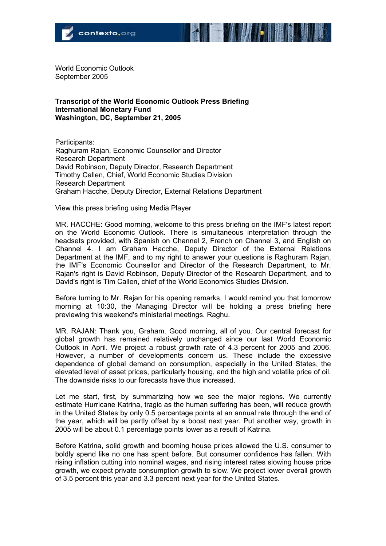

World Economic Outlook September 2005

## **Transcript of the World Economic Outlook Press Briefing International Monetary Fund Washington, DC, September 21, 2005**

Participants: Raghuram Rajan, Economic Counsellor and Director Research Department David Robinson, Deputy Director, Research Department Timothy Callen, Chief, World Economic Studies Division Research Department Graham Hacche, Deputy Director, External Relations Department

View this press briefing using Media Player

MR. HACCHE: Good morning, welcome to this press briefing on the IMF's latest report on the World Economic Outlook. There is simultaneous interpretation through the headsets provided, with Spanish on Channel 2, French on Channel 3, and English on Channel 4. I am Graham Hacche, Deputy Director of the External Relations Department at the IMF, and to my right to answer your questions is Raghuram Rajan, the IMF's Economic Counsellor and Director of the Research Department, to Mr. Rajan's right is David Robinson, Deputy Director of the Research Department, and to David's right is Tim Callen, chief of the World Economics Studies Division.

Before turning to Mr. Rajan for his opening remarks, I would remind you that tomorrow morning at 10:30, the Managing Director will be holding a press briefing here previewing this weekend's ministerial meetings. Raghu.

MR. RAJAN: Thank you, Graham. Good morning, all of you. Our central forecast for global growth has remained relatively unchanged since our last World Economic Outlook in April. We project a robust growth rate of 4.3 percent for 2005 and 2006. However, a number of developments concern us. These include the excessive dependence of global demand on consumption, especially in the United States, the elevated level of asset prices, particularly housing, and the high and volatile price of oil. The downside risks to our forecasts have thus increased.

Let me start, first, by summarizing how we see the major regions. We currently estimate Hurricane Katrina, tragic as the human suffering has been, will reduce growth in the United States by only 0.5 percentage points at an annual rate through the end of the year, which will be partly offset by a boost next year. Put another way, growth in 2005 will be about 0.1 percentage points lower as a result of Katrina.

Before Katrina, solid growth and booming house prices allowed the U.S. consumer to boldly spend like no one has spent before. But consumer confidence has fallen. With rising inflation cutting into nominal wages, and rising interest rates slowing house price growth, we expect private consumption growth to slow. We project lower overall growth of 3.5 percent this year and 3.3 percent next year for the United States.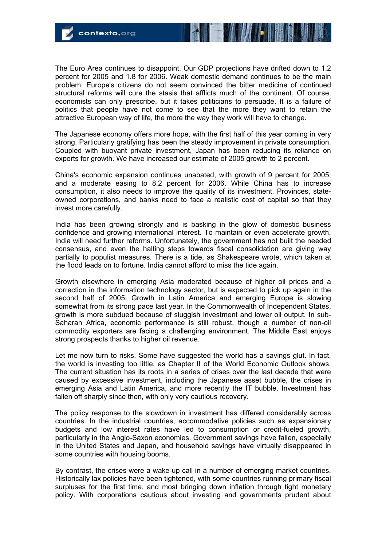The Euro Area continues to disappoint. Our GDP projections have drifted down to 1.2 percent for 2005 and 1.8 for 2006. Weak domestic demand continues to be the main problem. Europe's citizens do not seem convinced the bitter medicine of continued structural reforms will cure the stasis that afflicts much of the continent. Of course, economists can only prescribe, but it takes politicians to persuade. It is a failure of politics that people have not come to see that the more they want to retain the attractive European way of life, the more the way they work will have to change.

The Japanese economy offers more hope, with the first half of this year coming in very strong. Particularly gratifying has been the steady improvement in private consumption. Coupled with buoyant private investment, Japan has been reducing its reliance on exports for growth. We have increased our estimate of 2005 growth to 2 percent.

China's economic expansion continues unabated, with growth of 9 percent for 2005, and a moderate easing to 8.2 percent for 2006. While China has to increase consumption, it also needs to improve the quality of its investment. Provinces, stateowned corporations, and banks need to face a realistic cost of capital so that they invest more carefully.

India has been growing strongly and is basking in the glow of domestic business confidence and growing international interest. To maintain or even accelerate growth, India will need further reforms. Unfortunately, the government has not built the needed consensus, and even the halting steps towards fiscal consolidation are giving way partially to populist measures. There is a tide, as Shakespeare wrote, which taken at the flood leads on to fortune. India cannot afford to miss the tide again.

Growth elsewhere in emerging Asia moderated because of higher oil prices and a correction in the information technology sector, but is expected to pick up again in the second half of 2005. Growth in Latin America and emerging Europe is slowing somewhat from its strong pace last year. In the Commonwealth of Independent States, growth is more subdued because of sluggish investment and lower oil output. In sub-Saharan Africa, economic performance is still robust, though a number of non-oil commodity exporters are facing a challenging environment. The Middle East enjoys strong prospects thanks to higher oil revenue.

Let me now turn to risks. Some have suggested the world has a savings glut. In fact, the world is investing too little, as Chapter II of the World Economic Outlook shows. The current situation has its roots in a series of crises over the last decade that were caused by excessive investment, including the Japanese asset bubble, the crises in emerging Asia and Latin America, and more recently the IT bubble. Investment has fallen off sharply since then, with only very cautious recovery.

The policy response to the slowdown in investment has differed considerably across countries. In the industrial countries, accommodative policies such as expansionary budgets and low interest rates have led to consumption or credit-fueled growth, particularly in the Anglo-Saxon economies. Government savings have fallen, especially in the United States and Japan, and household savings have virtually disappeared in some countries with housing booms.

By contrast, the crises were a wake-up call in a number of emerging market countries. Historically lax policies have been tightened, with some countries running primary fiscal surpluses for the first time, and most bringing down inflation through tight monetary policy. With corporations cautious about investing and governments prudent about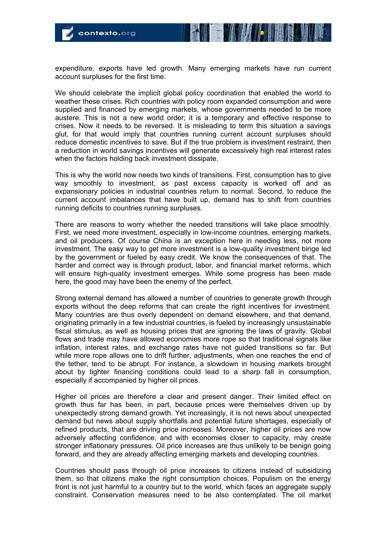

expenditure, exports have led growth. Many emerging markets have run current account surpluses for the first time.

We should celebrate the implicit global policy coordination that enabled the world to weather these crises. Rich countries with policy room expanded consumption and were supplied and financed by emerging markets, whose governments needed to be more austere. This is not a new world order; it is a temporary and effective response to crises. Now it needs to be reversed. It is misleading to term this situation a savings glut, for that would imply that countries running current account surpluses should reduce domestic incentives to save. But if the true problem is investment restraint, then a reduction in world savings incentives will generate excessively high real interest rates when the factors holding back investment dissipate.

This is why the world now needs two kinds of transitions. First, consumption has to give way smoothly to investment, as past excess capacity is worked off and as expansionary policies in industrial countries return to normal. Second, to reduce the current account imbalances that have built up, demand has to shift from countries running deficits to countries running surpluses.

There are reasons to worry whether the needed transitions will take place smoothly. First, we need more investment, especially in low-income countries, emerging markets, and oil producers. Of course China is an exception here in needing less, not more investment. The easy way to get more investment is a low-quality investment binge led by the government or fueled by easy credit. We know the consequences of that. The harder and correct way is through product, labor, and financial market reforms, which will ensure high-quality investment emerges. While some progress has been made here, the good may have been the enemy of the perfect.

Strong external demand has allowed a number of countries to generate growth through exports without the deep reforms that can create the right incentives for investment. Many countries are thus overly dependent on demand elsewhere, and that demand, originating primarily in a few industrial countries, is fueled by increasingly unsustainable fiscal stimulus, as well as housing prices that are ignoring the laws of gravity. Global flows and trade may have allowed economies more rope so that traditional signals like inflation, interest rates, and exchange rates have not guided transitions so far. But while more rope allows one to drift further, adjustments, when one reaches the end of the tether, tend to be abrupt. For instance, a slowdown in housing markets brought about by tighter financing conditions could lead to a sharp fall in consumption, especially if accompanied by higher oil prices.

Higher oil prices are therefore a clear and present danger. Their limited effect on growth thus far has been, in part, because prices were themselves driven up by unexpectedly strong demand growth. Yet increasingly, it is not news about unexpected demand but news about supply shortfalls and potential future shortages, especially of refined products, that are driving price increases. Moreover, higher oil prices are now adversely affecting confidence, and with economies closer to capacity, may create stronger inflationary pressures. Oil price increases are thus unlikely to be benign going forward, and they are already affecting emerging markets and developing countries.

Countries should pass through oil price increases to citizens instead of subsidizing them, so that citizens make the right consumption choices. Populism on the energy front is not just harmful to a country but to the world, which faces an aggregate supply constraint. Conservation measures need to be also contemplated. The oil market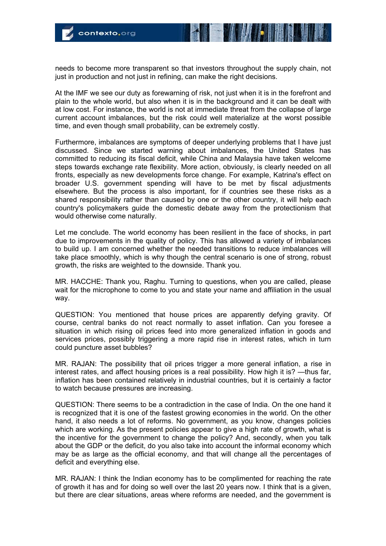needs to become more transparent so that investors throughout the supply chain, not just in production and not just in refining, can make the right decisions.

At the IMF we see our duty as forewarning of risk, not just when it is in the forefront and plain to the whole world, but also when it is in the background and it can be dealt with at low cost. For instance, the world is not at immediate threat from the collapse of large current account imbalances, but the risk could well materialize at the worst possible time, and even though small probability, can be extremely costly.

Furthermore, imbalances are symptoms of deeper underlying problems that I have just discussed. Since we started warning about imbalances, the United States has committed to reducing its fiscal deficit, while China and Malaysia have taken welcome steps towards exchange rate flexibility. More action, obviously, is clearly needed on all fronts, especially as new developments force change. For example, Katrina's effect on broader U.S. government spending will have to be met by fiscal adjustments elsewhere. But the process is also important, for if countries see these risks as a shared responsibility rather than caused by one or the other country, it will help each country's policymakers guide the domestic debate away from the protectionism that would otherwise come naturally.

Let me conclude. The world economy has been resilient in the face of shocks, in part due to improvements in the quality of policy. This has allowed a variety of imbalances to build up. I am concerned whether the needed transitions to reduce imbalances will take place smoothly, which is why though the central scenario is one of strong, robust growth, the risks are weighted to the downside. Thank you.

MR. HACCHE: Thank you, Raghu. Turning to questions, when you are called, please wait for the microphone to come to you and state your name and affiliation in the usual way.

QUESTION: You mentioned that house prices are apparently defying gravity. Of course, central banks do not react normally to asset inflation. Can you foresee a situation in which rising oil prices feed into more generalized inflation in goods and services prices, possibly triggering a more rapid rise in interest rates, which in turn could puncture asset bubbles?

MR. RAJAN: The possibility that oil prices trigger a more general inflation, a rise in interest rates, and affect housing prices is a real possibility. How high it is? —thus far, inflation has been contained relatively in industrial countries, but it is certainly a factor to watch because pressures are increasing.

QUESTION: There seems to be a contradiction in the case of India. On the one hand it is recognized that it is one of the fastest growing economies in the world. On the other hand, it also needs a lot of reforms. No government, as you know, changes policies which are working. As the present policies appear to give a high rate of growth, what is the incentive for the government to change the policy? And, secondly, when you talk about the GDP or the deficit, do you also take into account the informal economy which may be as large as the official economy, and that will change all the percentages of deficit and everything else.

MR. RAJAN: I think the Indian economy has to be complimented for reaching the rate of growth it has and for doing so well over the last 20 years now. I think that is a given, but there are clear situations, areas where reforms are needed, and the government is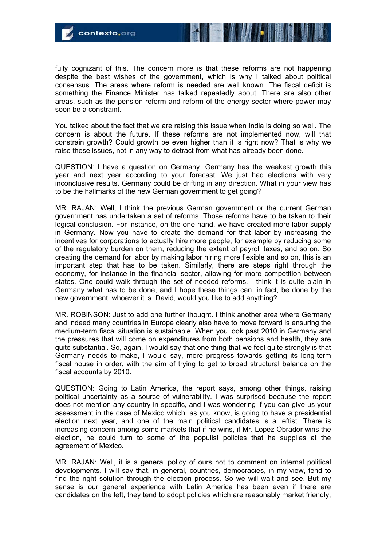fully cognizant of this. The concern more is that these reforms are not happening despite the best wishes of the government, which is why I talked about political consensus. The areas where reform is needed are well known. The fiscal deficit is something the Finance Minister has talked repeatedly about. There are also other areas, such as the pension reform and reform of the energy sector where power may soon be a constraint.

You talked about the fact that we are raising this issue when India is doing so well. The concern is about the future. If these reforms are not implemented now, will that constrain growth? Could growth be even higher than it is right now? That is why we raise these issues, not in any way to detract from what has already been done.

QUESTION: I have a question on Germany. Germany has the weakest growth this year and next year according to your forecast. We just had elections with very inconclusive results. Germany could be drifting in any direction. What in your view has to be the hallmarks of the new German government to get going?

MR. RAJAN: Well, I think the previous German government or the current German government has undertaken a set of reforms. Those reforms have to be taken to their logical conclusion. For instance, on the one hand, we have created more labor supply in Germany. Now you have to create the demand for that labor by increasing the incentives for corporations to actually hire more people, for example by reducing some of the regulatory burden on them, reducing the extent of payroll taxes, and so on. So creating the demand for labor by making labor hiring more flexible and so on, this is an important step that has to be taken. Similarly, there are steps right through the economy, for instance in the financial sector, allowing for more competition between states. One could walk through the set of needed reforms. I think it is quite plain in Germany what has to be done, and I hope these things can, in fact, be done by the new government, whoever it is. David, would you like to add anything?

MR. ROBINSON: Just to add one further thought. I think another area where Germany and indeed many countries in Europe clearly also have to move forward is ensuring the medium-term fiscal situation is sustainable. When you look past 2010 in Germany and the pressures that will come on expenditures from both pensions and health, they are quite substantial. So, again, I would say that one thing that we feel quite strongly is that Germany needs to make, I would say, more progress towards getting its long-term fiscal house in order, with the aim of trying to get to broad structural balance on the fiscal accounts by 2010.

QUESTION: Going to Latin America, the report says, among other things, raising political uncertainty as a source of vulnerability. I was surprised because the report does not mention any country in specific, and I was wondering if you can give us your assessment in the case of Mexico which, as you know, is going to have a presidential election next year, and one of the main political candidates is a leftist. There is increasing concern among some markets that if he wins, if Mr. Lopez Obrador wins the election, he could turn to some of the populist policies that he supplies at the agreement of Mexico.

MR. RAJAN: Well, it is a general policy of ours not to comment on internal political developments. I will say that, in general, countries, democracies, in my view, tend to find the right solution through the election process. So we will wait and see. But my sense is our general experience with Latin America has been even if there are candidates on the left, they tend to adopt policies which are reasonably market friendly,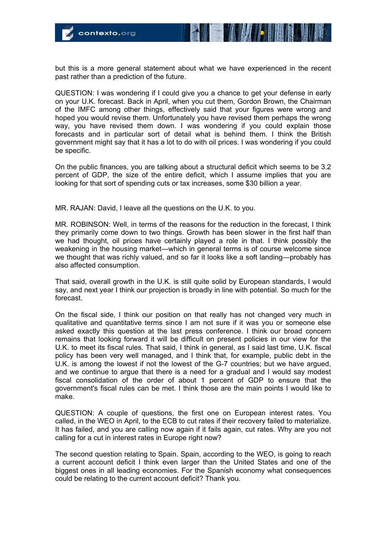but this is a more general statement about what we have experienced in the recent past rather than a prediction of the future.

QUESTION: I was wondering if I could give you a chance to get your defense in early on your U.K. forecast. Back in April, when you cut them, Gordon Brown, the Chairman of the IMFC among other things, effectively said that your figures were wrong and hoped you would revise them. Unfortunately you have revised them perhaps the wrong way, you have revised them down. I was wondering if you could explain those forecasts and in particular sort of detail what is behind them. I think the British government might say that it has a lot to do with oil prices. I was wondering if you could be specific.

On the public finances, you are talking about a structural deficit which seems to be 3.2 percent of GDP, the size of the entire deficit, which I assume implies that you are looking for that sort of spending cuts or tax increases, some \$30 billion a year.

MR. RAJAN: David, I leave all the questions on the U.K. to you.

MR. ROBINSON: Well, in terms of the reasons for the reduction in the forecast, I think they primarily come down to two things. Growth has been slower in the first half than we had thought, oil prices have certainly played a role in that. I think possibly the weakening in the housing market—which in general terms is of course welcome since we thought that was richly valued, and so far it looks like a soft landing—probably has also affected consumption.

That said, overall growth in the U.K. is still quite solid by European standards, I would say, and next year I think our projection is broadly in line with potential. So much for the forecast.

On the fiscal side, I think our position on that really has not changed very much in qualitative and quantitative terms since I am not sure if it was you or someone else asked exactly this question at the last press conference. I think our broad concern remains that looking forward it will be difficult on present policies in our view for the U.K. to meet its fiscal rules. That said, I think in general, as I said last time, U.K. fiscal policy has been very well managed, and I think that, for example, public debt in the U.K. is among the lowest if not the lowest of the G-7 countries; but we have argued, and we continue to argue that there is a need for a gradual and I would say modest fiscal consolidation of the order of about 1 percent of GDP to ensure that the government's fiscal rules can be met. I think those are the main points I would like to make.

QUESTION: A couple of questions, the first one on European interest rates. You called, in the WEO in April, to the ECB to cut rates if their recovery failed to materialize. It has failed, and you are calling now again if it fails again, cut rates. Why are you not calling for a cut in interest rates in Europe right now?

The second question relating to Spain. Spain, according to the WEO, is going to reach a current account deficit I think even larger than the United States and one of the biggest ones in all leading economies. For the Spanish economy what consequences could be relating to the current account deficit? Thank you.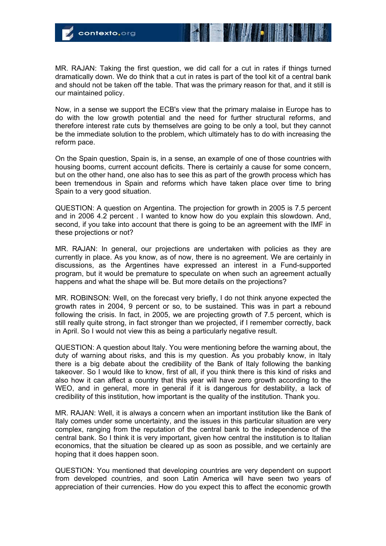MR. RAJAN: Taking the first question, we did call for a cut in rates if things turned dramatically down. We do think that a cut in rates is part of the tool kit of a central bank and should not be taken off the table. That was the primary reason for that, and it still is our maintained policy.

Now, in a sense we support the ECB's view that the primary malaise in Europe has to do with the low growth potential and the need for further structural reforms, and therefore interest rate cuts by themselves are going to be only a tool, but they cannot be the immediate solution to the problem, which ultimately has to do with increasing the reform pace.

On the Spain question, Spain is, in a sense, an example of one of those countries with housing booms, current account deficits. There is certainly a cause for some concern, but on the other hand, one also has to see this as part of the growth process which has been tremendous in Spain and reforms which have taken place over time to bring Spain to a very good situation.

QUESTION: A question on Argentina. The projection for growth in 2005 is 7.5 percent and in 2006 4.2 percent . I wanted to know how do you explain this slowdown. And, second, if you take into account that there is going to be an agreement with the IMF in these projections or not?

MR. RAJAN: In general, our projections are undertaken with policies as they are currently in place. As you know, as of now, there is no agreement. We are certainly in discussions, as the Argentines have expressed an interest in a Fund-supported program, but it would be premature to speculate on when such an agreement actually happens and what the shape will be. But more details on the projections?

MR. ROBINSON: Well, on the forecast very briefly, I do not think anyone expected the growth rates in 2004, 9 percent or so, to be sustained. This was in part a rebound following the crisis. In fact, in 2005, we are projecting growth of 7.5 percent, which is still really quite strong, in fact stronger than we projected, if I remember correctly, back in April. So I would not view this as being a particularly negative result.

QUESTION: A question about Italy. You were mentioning before the warning about, the duty of warning about risks, and this is my question. As you probably know, in Italy there is a big debate about the credibility of the Bank of Italy following the banking takeover. So I would like to know, first of all, if you think there is this kind of risks and also how it can affect a country that this year will have zero growth according to the WEO, and in general, more in general if it is dangerous for destability, a lack of credibility of this institution, how important is the quality of the institution. Thank you.

MR. RAJAN: Well, it is always a concern when an important institution like the Bank of Italy comes under some uncertainty, and the issues in this particular situation are very complex, ranging from the reputation of the central bank to the independence of the central bank. So I think it is very important, given how central the institution is to Italian economics, that the situation be cleared up as soon as possible, and we certainly are hoping that it does happen soon.

QUESTION: You mentioned that developing countries are very dependent on support from developed countries, and soon Latin America will have seen two years of appreciation of their currencies. How do you expect this to affect the economic growth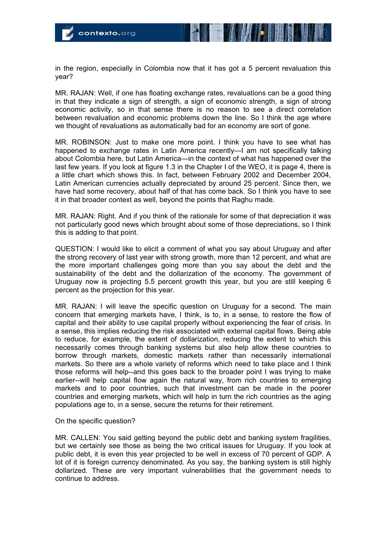in the region, especially in Colombia now that it has got a 5 percent revaluation this year?

MR. RAJAN: Well, if one has floating exchange rates, revaluations can be a good thing in that they indicate a sign of strength, a sign of economic strength, a sign of strong economic activity, so in that sense there is no reason to see a direct correlation between revaluation and economic problems down the line. So I think the age where we thought of revaluations as automatically bad for an economy are sort of gone.

MR. ROBINSON: Just to make one more point. I think you have to see what has happened to exchange rates in Latin America recently—I am not specifically talking about Colombia here, but Latin America—in the context of what has happened over the last few years. If you look at figure 1.3 in the Chapter I of the WEO, it is page 4, there is a little chart which shows this. In fact, between February 2002 and December 2004, Latin American currencies actually depreciated by around 25 percent. Since then, we have had some recovery, about half of that has come back. So I think you have to see it in that broader context as well, beyond the points that Raghu made.

MR. RAJAN: Right. And if you think of the rationale for some of that depreciation it was not particularly good news which brought about some of those depreciations, so I think this is adding to that point.

QUESTION: I would like to elicit a comment of what you say about Uruguay and after the strong recovery of last year with strong growth, more than 12 percent, and what are the more important challenges going more than you say about the debt and the sustainability of the debt and the dollarization of the economy. The government of Uruguay now is projecting 5.5 percent growth this year, but you are still keeping 6 percent as the projection for this year.

MR. RAJAN: I will leave the specific question on Uruguay for a second. The main concern that emerging markets have, I think, is to, in a sense, to restore the flow of capital and their ability to use capital properly without experiencing the fear of crisis. In a sense, this implies reducing the risk associated with external capital flows. Being able to reduce, for example, the extent of dollarization, reducing the extent to which this necessarily comes through banking systems but also help allow these countries to borrow through markets, domestic markets rather than necessarily international markets. So there are a whole variety of reforms which need to take place and I think those reforms will help--and this goes back to the broader point I was trying to make earlier--will help capital flow again the natural way, from rich countries to emerging markets and to poor countries, such that investment can be made in the poorer countries and emerging markets, which will help in turn the rich countries as the aging populations age to, in a sense, secure the returns for their retirement.

## On the specific question?

MR. CALLEN: You said getting beyond the public debt and banking system fragilities, but we certainly see those as being the two critical issues for Uruguay. If you look at public debt, it is even this year projected to be well in excess of 70 percent of GDP. A lot of it is foreign currency denominated. As you say, the banking system is still highly dollarized. These are very important vulnerabilities that the government needs to continue to address.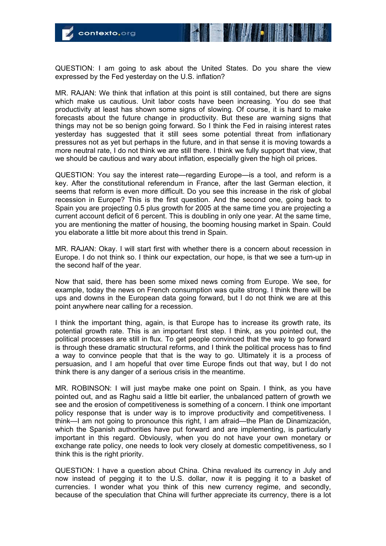

QUESTION: I am going to ask about the United States. Do you share the view expressed by the Fed yesterday on the U.S. inflation?

MR. RAJAN: We think that inflation at this point is still contained, but there are signs which make us cautious. Unit labor costs have been increasing. You do see that productivity at least has shown some signs of slowing. Of course, it is hard to make forecasts about the future change in productivity. But these are warning signs that things may not be so benign going forward. So I think the Fed in raising interest rates yesterday has suggested that it still sees some potential threat from inflationary pressures not as yet but perhaps in the future, and in that sense it is moving towards a more neutral rate, I do not think we are still there. I think we fully support that view, that we should be cautious and wary about inflation, especially given the high oil prices.

QUESTION: You say the interest rate—regarding Europe—is a tool, and reform is a key. After the constitutional referendum in France, after the last German election, it seems that reform is even more difficult. Do you see this increase in the risk of global recession in Europe? This is the first question. And the second one, going back to Spain you are projecting 0.5 plus growth for 2005 at the same time you are projecting a current account deficit of 6 percent. This is doubling in only one year. At the same time, you are mentioning the matter of housing, the booming housing market in Spain. Could you elaborate a little bit more about this trend in Spain.

MR. RAJAN: Okay. I will start first with whether there is a concern about recession in Europe. I do not think so. I think our expectation, our hope, is that we see a turn-up in the second half of the year.

Now that said, there has been some mixed news coming from Europe. We see, for example, today the news on French consumption was quite strong. I think there will be ups and downs in the European data going forward, but I do not think we are at this point anywhere near calling for a recession.

I think the important thing, again, is that Europe has to increase its growth rate, its potential growth rate. This is an important first step. I think, as you pointed out, the political processes are still in flux. To get people convinced that the way to go forward is through these dramatic structural reforms, and I think the political process has to find a way to convince people that that is the way to go. Ultimately it is a process of persuasion, and I am hopeful that over time Europe finds out that way, but I do not think there is any danger of a serious crisis in the meantime.

MR. ROBINSON: I will just maybe make one point on Spain. I think, as you have pointed out, and as Raghu said a little bit earlier, the unbalanced pattern of growth we see and the erosion of competitiveness is something of a concern. I think one important policy response that is under way is to improve productivity and competitiveness. I think—I am not going to pronounce this right, I am afraid—the Plan de Dinamización, which the Spanish authorities have put forward and are implementing, is particularly important in this regard. Obviously, when you do not have your own monetary or exchange rate policy, one needs to look very closely at domestic competitiveness, so I think this is the right priority.

QUESTION: I have a question about China. China revalued its currency in July and now instead of pegging it to the U.S. dollar, now it is pegging it to a basket of currencies. I wonder what you think of this new currency regime, and secondly, because of the speculation that China will further appreciate its currency, there is a lot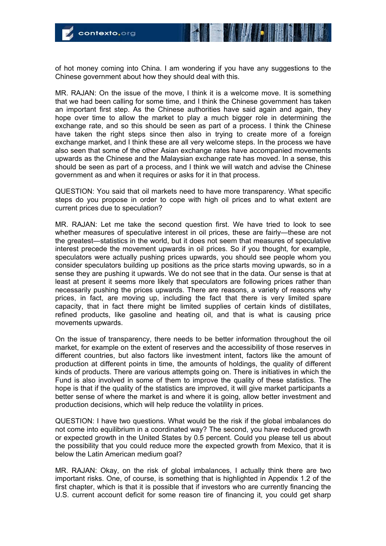of hot money coming into China. I am wondering if you have any suggestions to the Chinese government about how they should deal with this.

MR. RAJAN: On the issue of the move, I think it is a welcome move. It is something that we had been calling for some time, and I think the Chinese government has taken an important first step. As the Chinese authorities have said again and again, they hope over time to allow the market to play a much bigger role in determining the exchange rate, and so this should be seen as part of a process. I think the Chinese have taken the right steps since then also in trying to create more of a foreign exchange market, and I think these are all very welcome steps. In the process we have also seen that some of the other Asian exchange rates have accompanied movements upwards as the Chinese and the Malaysian exchange rate has moved. In a sense, this should be seen as part of a process, and I think we will watch and advise the Chinese government as and when it requires or asks for it in that process.

QUESTION: You said that oil markets need to have more transparency. What specific steps do you propose in order to cope with high oil prices and to what extent are current prices due to speculation?

MR. RAJAN: Let me take the second question first. We have tried to look to see whether measures of speculative interest in oil prices, these are fairly—these are not the greatest—statistics in the world, but it does not seem that measures of speculative interest precede the movement upwards in oil prices. So if you thought, for example, speculators were actually pushing prices upwards, you should see people whom you consider speculators building up positions as the price starts moving upwards, so in a sense they are pushing it upwards. We do not see that in the data. Our sense is that at least at present it seems more likely that speculators are following prices rather than necessarily pushing the prices upwards. There are reasons, a variety of reasons why prices, in fact, are moving up, including the fact that there is very limited spare capacity, that in fact there might be limited supplies of certain kinds of distillates, refined products, like gasoline and heating oil, and that is what is causing price movements upwards.

On the issue of transparency, there needs to be better information throughout the oil market, for example on the extent of reserves and the accessibility of those reserves in different countries, but also factors like investment intent, factors like the amount of production at different points in time, the amounts of holdings, the quality of different kinds of products. There are various attempts going on. There is initiatives in which the Fund is also involved in some of them to improve the quality of these statistics. The hope is that if the quality of the statistics are improved, it will give market participants a better sense of where the market is and where it is going, allow better investment and production decisions, which will help reduce the volatility in prices.

QUESTION: I have two questions. What would be the risk if the global imbalances do not come into equilibrium in a coordinated way? The second, you have reduced growth or expected growth in the United States by 0.5 percent. Could you please tell us about the possibility that you could reduce more the expected growth from Mexico, that it is below the Latin American medium goal?

MR. RAJAN: Okay, on the risk of global imbalances, I actually think there are two important risks. One, of course, is something that is highlighted in Appendix 1.2 of the first chapter, which is that it is possible that if investors who are currently financing the U.S. current account deficit for some reason tire of financing it, you could get sharp